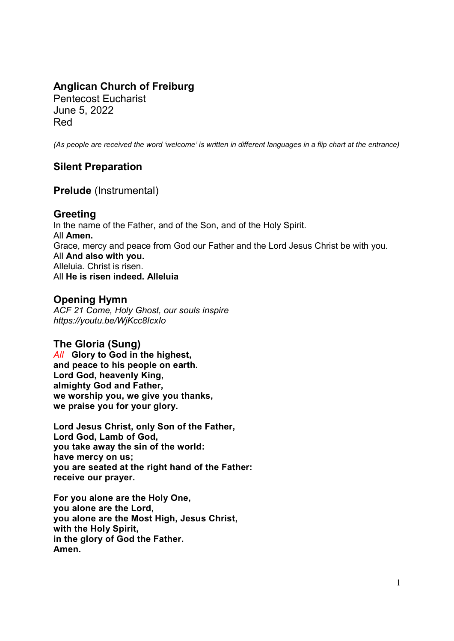# Anglican Church of Freiburg

Pentecost Eucharist June 5, 2022 Red

(As people are received the word 'welcome' is written in different languages in a flip chart at the entrance)

# Silent Preparation

Prelude (Instrumental)

## Greeting

In the name of the Father, and of the Son, and of the Holy Spirit. All Amen. Grace, mercy and peace from God our Father and the Lord Jesus Christ be with you. All And also with you. Alleluia. Christ is risen. All He is risen indeed. Alleluia

# Opening Hymn

ACF 21 Come, Holy Ghost, our souls inspire https://youtu.be/WjKcc8IcxIo

# The Gloria (Sung)

All Glory to God in the highest, and peace to his people on earth. Lord God, heavenly King, almighty God and Father, we worship you, we give you thanks, we praise you for your glory.

Lord Jesus Christ, only Son of the Father, Lord God, Lamb of God, you take away the sin of the world: have mercy on us; you are seated at the right hand of the Father: receive our prayer.

For you alone are the Holy One, you alone are the Lord, you alone are the Most High, Jesus Christ, with the Holy Spirit, in the glory of God the Father. Amen.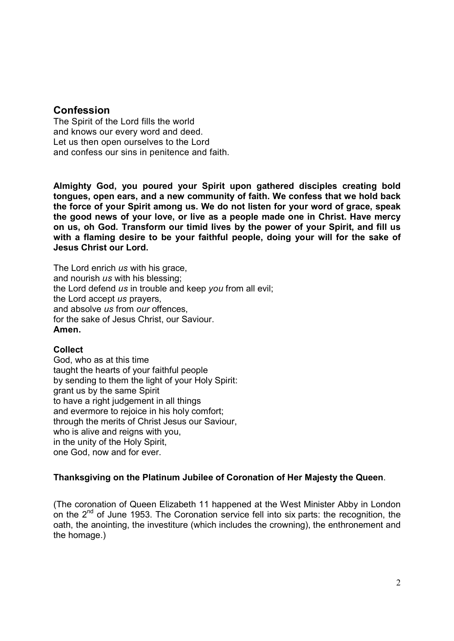### **Confession**

The Spirit of the Lord fills the world and knows our every word and deed. Let us then open ourselves to the Lord and confess our sins in penitence and faith.

Almighty God, you poured your Spirit upon gathered disciples creating bold tongues, open ears, and a new community of faith. We confess that we hold back the force of your Spirit among us. We do not listen for your word of grace, speak the good news of your love, or live as a people made one in Christ. Have mercy on us, oh God. Transform our timid lives by the power of your Spirit, and fill us with a flaming desire to be your faithful people, doing your will for the sake of Jesus Christ our Lord.

The Lord enrich us with his grace, and nourish us with his blessing; the Lord defend us in trouble and keep you from all evil; the Lord accept us prayers. and absolve us from our offences, for the sake of Jesus Christ, our Saviour. Amen.

#### Collect

God, who as at this time taught the hearts of your faithful people by sending to them the light of your Holy Spirit: grant us by the same Spirit to have a right judgement in all things and evermore to rejoice in his holy comfort; through the merits of Christ Jesus our Saviour, who is alive and reigns with you, in the unity of the Holy Spirit, one God, now and for ever.

#### Thanksgiving on the Platinum Jubilee of Coronation of Her Majesty the Queen.

(The coronation of Queen Elizabeth 11 happened at the West Minister Abby in London on the  $2^{nd}$  of June 1953. The Coronation service fell into six parts: the recognition, the oath, the anointing, the investiture (which includes the crowning), the enthronement and the homage.)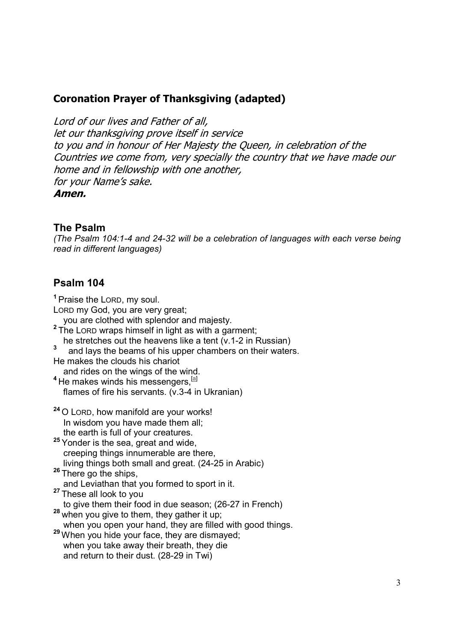# Coronation Prayer of Thanksgiving (adapted)

Lord of our lives and Father of all, let our thanksgiving prove itself in service to you and in honour of Her Majesty the Queen, in celebration of the Countries we come from, very specially the country that we have made our home and in fellowship with one another, for your Name's sake. Amen.

### The Psalm

(The Psalm 104:1-4 and 24-32 will be a celebration of languages with each verse being read in different languages)

## Psalm 104

<sup>1</sup>Praise the LORD, my soul.

LORD my God, you are very great;

you are clothed with splendor and majesty.

- <sup>2</sup>The LORD wraps himself in light as with a garment;
- he stretches out the heavens like a tent (v.1-2 in Russian)
- and lays the beams of his upper chambers on their waters.
- He makes the clouds his chariot

and rides on the wings of the wind.

 $4$  He makes winds his messengers,  $[4]$ flames of fire his servants. (v.3-4 in Ukranian)

- <sup>24</sup> O LORD, how manifold are your works! In wisdom you have made them all; the earth is full of your creatures.
- 25 Yonder is the sea, great and wide, creeping things innumerable are there, living things both small and great. (24-25 in Arabic)
- 26 There go the ships,

and Leviathan that you formed to sport in it.

<sup>27</sup> These all look to you

to give them their food in due season; (26-27 in French)

- $28$  when you give to them, they gather it up; when you open your hand, they are filled with good things.
- 29 When you hide your face, they are dismayed; when you take away their breath, they die and return to their dust. (28-29 in Twi)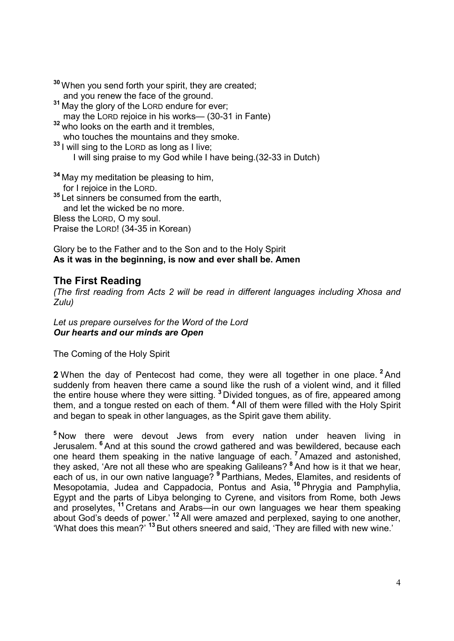- <sup>30</sup> When you send forth your spirit, they are created; and you renew the face of the ground.
- <sup>31</sup> May the glory of the LORD endure for ever; may the LORD rejoice in his works— (30-31 in Fante)
- <sup>32</sup> who looks on the earth and it trembles, who touches the mountains and they smoke.
- <sup>33</sup> I will sing to the LORD as long as I live;
	- I will sing praise to my God while I have being.(32-33 in Dutch)
- $34$  May my meditation be pleasing to him, for I rejoice in the LORD.
- <sup>35</sup> Let sinners be consumed from the earth,

and let the wicked be no more.

Bless the LORD, O my soul.

Praise the LORD! (34-35 in Korean)

#### Glory be to the Father and to the Son and to the Holy Spirit As it was in the beginning, is now and ever shall be. Amen

## The First Reading

(The first reading from Acts 2 will be read in different languages including Xhosa and Zulu)

Let us prepare ourselves for the Word of the Lord Our hearts and our minds are Open

The Coming of the Holy Spirit

2 When the day of Pentecost had come, they were all together in one place. <sup>2</sup> And suddenly from heaven there came a sound like the rush of a violent wind, and it filled the entire house where they were sitting. <sup>3</sup> Divided tongues, as of fire, appeared among them, and a tongue rested on each of them. <sup>4</sup>All of them were filled with the Holy Spirit and began to speak in other languages, as the Spirit gave them ability.

<sup>5</sup>Now there were devout Jews from every nation under heaven living in Jerusalem. <sup>6</sup> And at this sound the crowd gathered and was bewildered, because each one heard them speaking in the native language of each. <sup>7</sup>Amazed and astonished, they asked, 'Are not all these who are speaking Galileans? <sup>8</sup>And how is it that we hear, each of us, in our own native language? <sup>9</sup> Parthians, Medes, Elamites, and residents of Mesopotamia, Judea and Cappadocia, Pontus and Asia, <sup>10</sup> Phrygia and Pamphylia, Egypt and the parts of Libya belonging to Cyrene, and visitors from Rome, both Jews and proselytes, <sup>11</sup>Cretans and Arabs—in our own languages we hear them speaking about God's deeds of power.' <sup>12</sup> All were amazed and perplexed, saying to one another, 'What does this mean?' <sup>13</sup> But others sneered and said, 'They are filled with new wine.'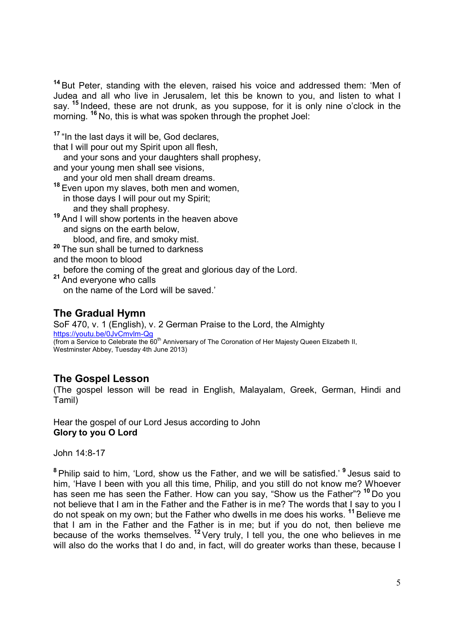<sup>14</sup> But Peter, standing with the eleven, raised his voice and addressed them: 'Men of Judea and all who live in Jerusalem, let this be known to you, and listen to what I say. <sup>15</sup> Indeed, these are not drunk, as you suppose, for it is only nine o'clock in the bay. Thacked, these did not did in, as you suppose, is it is a morning. <sup>16</sup> No, this is what was spoken through the prophet Joel:

<sup>17</sup> "In the last days it will be, God declares,

that I will pour out my Spirit upon all flesh,

and your sons and your daughters shall prophesy,

and your young men shall see visions,

and your old men shall dream dreams.

- <sup>18</sup> Even upon my slaves, both men and women, in those days I will pour out my Spirit; and they shall prophesy.
- <sup>19</sup> And I will show portents in the heaven above and signs on the earth below,

blood, and fire, and smoky mist.

<sup>20</sup> The sun shall be turned to darkness

and the moon to blood

before the coming of the great and glorious day of the Lord.

<sup>21</sup> And everyone who calls on the name of the Lord will be saved.'

# The Gradual Hymn

SoF 470, v. 1 (English), v. 2 German Praise to the Lord, the Almighty https://youtu.be/0JvCmvlm-Qg (from a Service to Celebrate the 60<sup>th</sup> Anniversary of The Coronation of Her Majesty Queen Elizabeth II, Westminster Abbey, Tuesday 4th June 2013)

# The Gospel Lesson

(The gospel lesson will be read in English, Malayalam, Greek, German, Hindi and Tamil)

Hear the gospel of our Lord Jesus according to John Glory to you O Lord

John 14:8-17

<sup>8</sup> Philip said to him, 'Lord, show us the Father, and we will be satisfied.' <sup>9</sup> Jesus said to him, 'Have I been with you all this time, Philip, and you still do not know me? Whoever has seen me has seen the Father. How can you say, "Show us the Father"? <sup>10</sup> Do you not believe that I am in the Father and the Father is in me? The words that I say to you I do not speak on my own; but the Father who dwells in me does his works. <sup>11</sup> Believe me that I am in the Father and the Father is in me; but if you do not, then believe me because of the works themselves.<sup>12</sup> Very truly, I tell you, the one who believes in me will also do the works that I do and, in fact, will do greater works than these, because I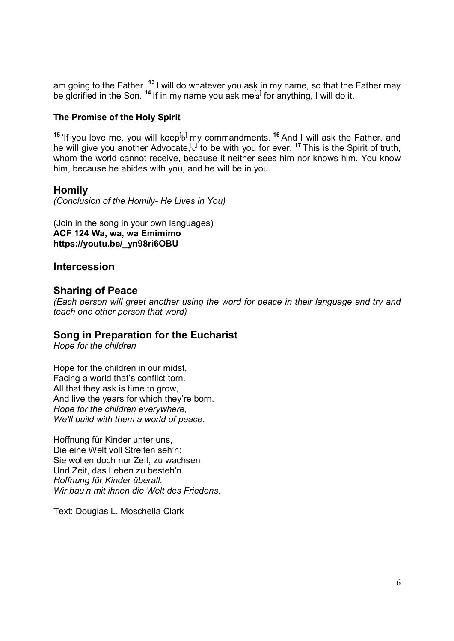am going to the Father. <sup>13</sup> I will do whatever you ask in my name, so that the Father may be glorified in the Son.  $^{14}$  If in my name you ask me $^{[a]}$  for anything, I will do it.

#### The Promise of the Holy Spirit

<sup>15</sup> 'If you love me, you will keep<sup>[</sup>b<sup>]</sup> my commandments. <sup>16</sup> And I will ask the Father, and he will give you another Advocate,<sup>[c]</sup> to be with you for ever. <sup>17</sup> This is the Spirit of truth, whom the world cannot receive, because it neither sees him nor knows him. You know him, because he abides with you, and he will be in you.

### Homily

(Conclusion of the Homily- He Lives in You)

(Join in the song in your own languages) ACF 124 Wa, wa, wa Emimimo https://youtu.be/\_yn98ri6OBU

## Intercession

## Sharing of Peace

(Each person will greet another using the word for peace in their language and try and teach one other person that word)

### Song in Preparation for the Eucharist

Hope for the children

Hope for the children in our midst, Facing a world that's conflict torn. All that they ask is time to grow, And live the years for which they're born. Hope for the children everywhere, We'll build with them a world of peace.

Hoffnung für Kinder unter uns, Die eine Welt voll Streiten seh'n: Sie wollen doch nur Zeit, zu wachsen Und Zeit, das Leben zu besteh'n. Hoffnung für Kinder überall. Wir bau'n mit ihnen die Welt des Friedens.

Text: Douglas L. Moschella Clark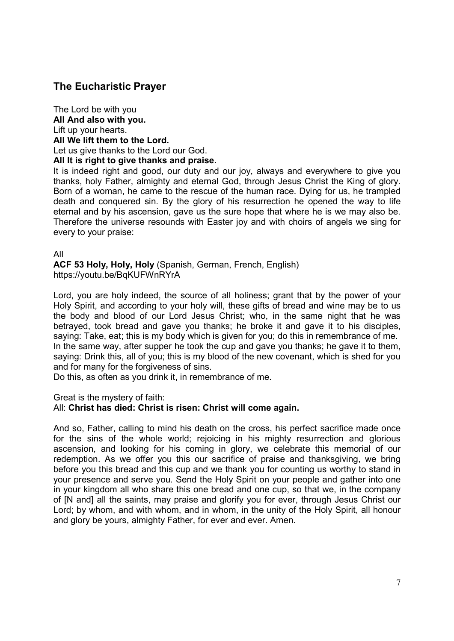# The Eucharistic Prayer

The Lord be with you All And also with you. Lift up your hearts. All We lift them to the Lord. Let us give thanks to the Lord our God.

#### All It is right to give thanks and praise.

It is indeed right and good, our duty and our joy, always and everywhere to give you thanks, holy Father, almighty and eternal God, through Jesus Christ the King of glory. Born of a woman, he came to the rescue of the human race. Dying for us, he trampled death and conquered sin. By the glory of his resurrection he opened the way to life eternal and by his ascension, gave us the sure hope that where he is we may also be. Therefore the universe resounds with Easter joy and with choirs of angels we sing for every to your praise:

#### All

ACF 53 Holy, Holy, Holy (Spanish, German, French, English) https://youtu.be/BqKUFWnRYrA

Lord, you are holy indeed, the source of all holiness; grant that by the power of your Holy Spirit, and according to your holy will, these gifts of bread and wine may be to us the body and blood of our Lord Jesus Christ; who, in the same night that he was betrayed, took bread and gave you thanks; he broke it and gave it to his disciples, saying: Take, eat; this is my body which is given for you; do this in remembrance of me. In the same way, after supper he took the cup and gave you thanks; he gave it to them, saying: Drink this, all of you; this is my blood of the new covenant, which is shed for you and for many for the forgiveness of sins.

Do this, as often as you drink it, in remembrance of me.

Great is the mystery of faith:

#### All: Christ has died: Christ is risen: Christ will come again.

And so, Father, calling to mind his death on the cross, his perfect sacrifice made once for the sins of the whole world; rejoicing in his mighty resurrection and glorious ascension, and looking for his coming in glory, we celebrate this memorial of our redemption. As we offer you this our sacrifice of praise and thanksgiving, we bring before you this bread and this cup and we thank you for counting us worthy to stand in your presence and serve you. Send the Holy Spirit on your people and gather into one in your kingdom all who share this one bread and one cup, so that we, in the company of [N and] all the saints, may praise and glorify you for ever, through Jesus Christ our Lord; by whom, and with whom, and in whom, in the unity of the Holy Spirit, all honour and glory be yours, almighty Father, for ever and ever. Amen.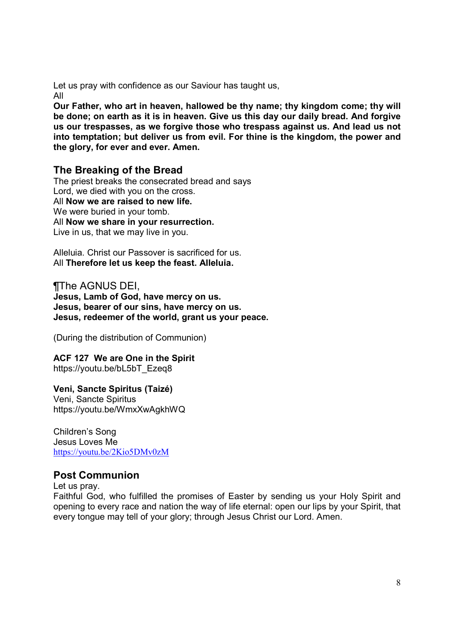Let us pray with confidence as our Saviour has taught us, All

Our Father, who art in heaven, hallowed be thy name; thy kingdom come; thy will be done; on earth as it is in heaven. Give us this day our daily bread. And forgive us our trespasses, as we forgive those who trespass against us. And lead us not into temptation; but deliver us from evil. For thine is the kingdom, the power and the glory, for ever and ever. Amen.

## The Breaking of the Bread

The priest breaks the consecrated bread and says Lord, we died with you on the cross. All Now we are raised to new life. We were buried in your tomb. All **Now we share in your resurrection.** Live in us, that we may live in you.

Alleluia. Christ our Passover is sacrificed for us. All Therefore let us keep the feast. Alleluia.

¶The AGNUS DEI, Jesus, Lamb of God, have mercy on us. Jesus, bearer of our sins, have mercy on us. Jesus, redeemer of the world, grant us your peace.

(During the distribution of Communion)

ACF 127 We are One in the Spirit https://youtu.be/bL5bT\_Ezeq8

#### Veni, Sancte Spiritus (Taizé)

Veni, Sancte Spiritus https://youtu.be/WmxXwAgkhWQ

Children's Song Jesus Loves Me https://youtu.be/2Kio5DMv0zM

### Post Communion

Let us pray.

Faithful God, who fulfilled the promises of Easter by sending us your Holy Spirit and opening to every race and nation the way of life eternal: open our lips by your Spirit, that every tongue may tell of your glory; through Jesus Christ our Lord. Amen.